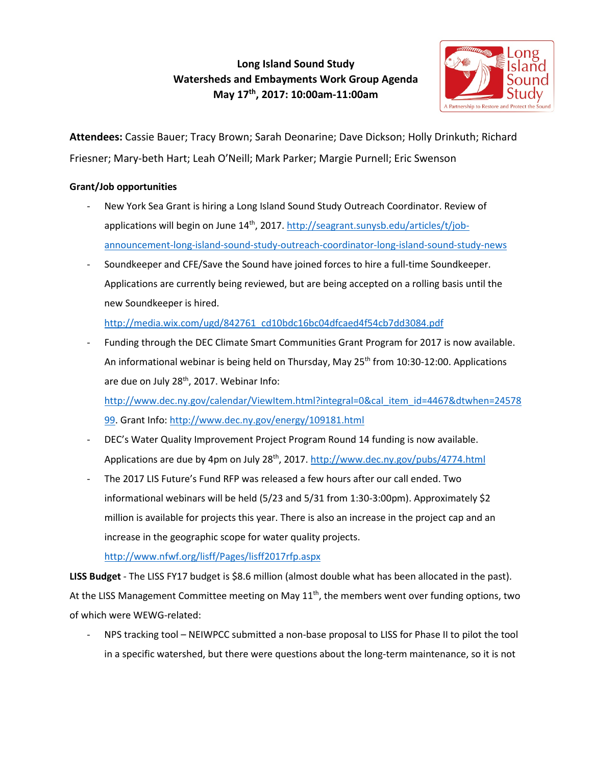# **Long Island Sound Study Watersheds and Embayments Work Group Agenda May 17th, 2017: 10:00am-11:00am**



**Attendees:** Cassie Bauer; Tracy Brown; Sarah Deonarine; Dave Dickson; Holly Drinkuth; Richard Friesner; Mary-beth Hart; Leah O'Neill; Mark Parker; Margie Purnell; Eric Swenson

# **Grant/Job opportunities**

- New York Sea Grant is hiring a Long Island Sound Study Outreach Coordinator. Review of applications will begin on June 14th, 2017[. http://seagrant.sunysb.edu/articles/t/job](http://seagrant.sunysb.edu/articles/t/job-announcement-long-island-sound-study-outreach-coordinator-long-island-sound-study-news)[announcement-long-island-sound-study-outreach-coordinator-long-island-sound-study-news](http://seagrant.sunysb.edu/articles/t/job-announcement-long-island-sound-study-outreach-coordinator-long-island-sound-study-news)
- Soundkeeper and CFE/Save the Sound have joined forces to hire a full-time Soundkeeper. Applications are currently being reviewed, but are being accepted on a rolling basis until the new Soundkeeper is hired.

http://media.wix.com/ugd/842761\_cd10bdc16bc04dfcaed4f54cb7dd3084.pdf

- Funding through the DEC Climate Smart Communities Grant Program for 2017 is now available. An informational webinar is being held on Thursday, May 25<sup>th</sup> from 10:30-12:00. Applications are due on July 28<sup>th</sup>, 2017. Webinar Info:

[http://www.dec.ny.gov/calendar/ViewItem.html?integral=0&cal\\_item\\_id=4467&dtwhen=24578](http://www.dec.ny.gov/calendar/ViewItem.html?integral=0&cal_item_id=4467&dtwhen=2457899) [99.](http://www.dec.ny.gov/calendar/ViewItem.html?integral=0&cal_item_id=4467&dtwhen=2457899) Grant Info[: http://www.dec.ny.gov/energy/109181.html](http://www.dec.ny.gov/energy/109181.html)

- DEC's Water Quality Improvement Project Program Round 14 funding is now available. Applications are due by 4pm on July 28th, 2017.<http://www.dec.ny.gov/pubs/4774.html>
- The 2017 LIS Future's Fund RFP was released a few hours after our call ended. Two informational webinars will be held (5/23 and 5/31 from 1:30-3:00pm). Approximately \$2 million is available for projects this year. There is also an increase in the project cap and an increase in the geographic scope for water quality projects.

<http://www.nfwf.org/lisff/Pages/lisff2017rfp.aspx>

**LISS Budget** - The LISS FY17 budget is \$8.6 million (almost double what has been allocated in the past). At the LISS Management Committee meeting on May  $11<sup>th</sup>$ , the members went over funding options, two of which were WEWG-related:

- NPS tracking tool – NEIWPCC submitted a non-base proposal to LISS for Phase II to pilot the tool in a specific watershed, but there were questions about the long-term maintenance, so it is not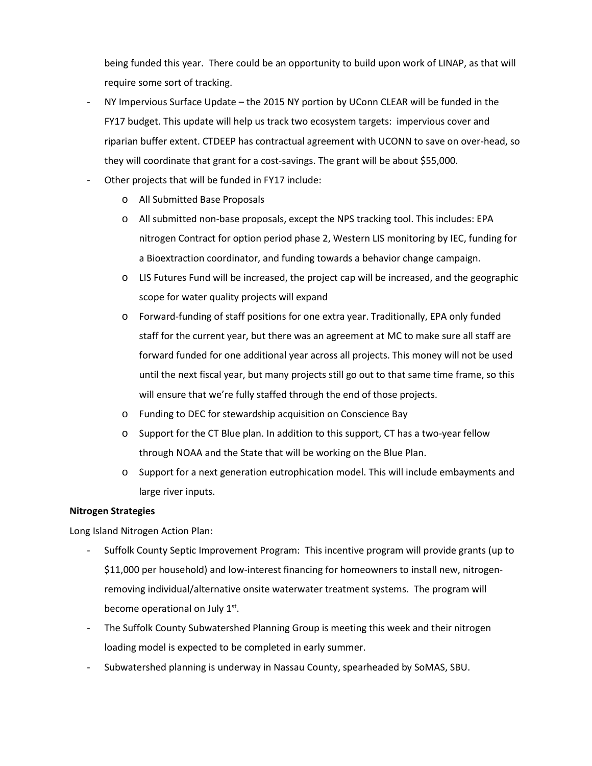being funded this year. There could be an opportunity to build upon work of LINAP, as that will require some sort of tracking.

- NY Impervious Surface Update the 2015 NY portion by UConn CLEAR will be funded in the FY17 budget. This update will help us track two ecosystem targets: impervious cover and riparian buffer extent. CTDEEP has contractual agreement with UCONN to save on over-head, so they will coordinate that grant for a cost-savings. The grant will be about \$55,000.
- Other projects that will be funded in FY17 include:
	- o All Submitted Base Proposals
	- o All submitted non-base proposals, except the NPS tracking tool. This includes: EPA nitrogen Contract for option period phase 2, Western LIS monitoring by IEC, funding for a Bioextraction coordinator, and funding towards a behavior change campaign.
	- o LIS Futures Fund will be increased, the project cap will be increased, and the geographic scope for water quality projects will expand
	- o Forward-funding of staff positions for one extra year. Traditionally, EPA only funded staff for the current year, but there was an agreement at MC to make sure all staff are forward funded for one additional year across all projects. This money will not be used until the next fiscal year, but many projects still go out to that same time frame, so this will ensure that we're fully staffed through the end of those projects.
	- o Funding to DEC for stewardship acquisition on Conscience Bay
	- $\circ$  Support for the CT Blue plan. In addition to this support, CT has a two-year fellow through NOAA and the State that will be working on the Blue Plan.
	- o Support for a next generation eutrophication model. This will include embayments and large river inputs.

## **Nitrogen Strategies**

Long Island Nitrogen Action Plan:

- Suffolk County Septic Improvement Program: This incentive program will provide grants (up to \$11,000 per household) and low-interest financing for homeowners to install new, nitrogenremoving individual/alternative onsite waterwater treatment systems. The program will become operational on July 1<sup>st</sup>.
- The Suffolk County Subwatershed Planning Group is meeting this week and their nitrogen loading model is expected to be completed in early summer.
- Subwatershed planning is underway in Nassau County, spearheaded by SoMAS, SBU.